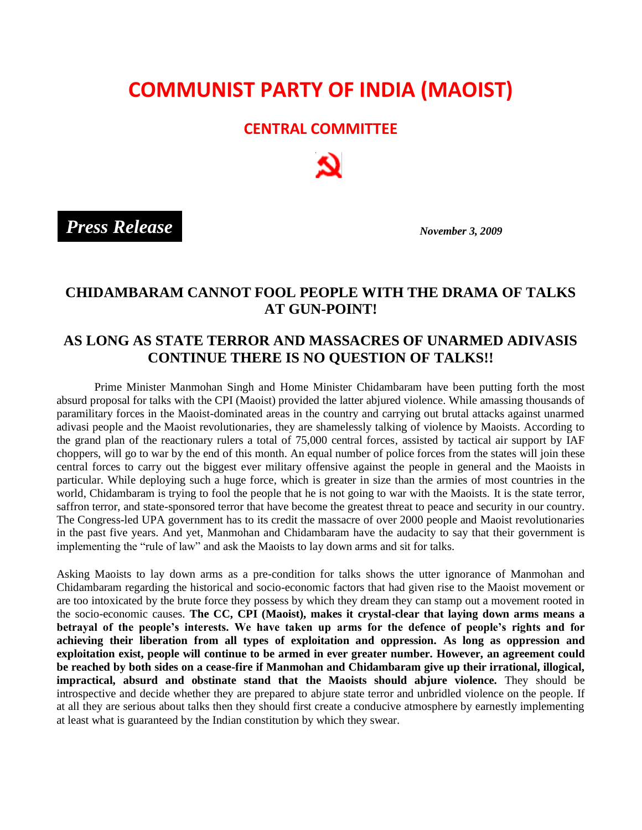## **COMMUNIST PARTY OF INDIA (MAOIST)**

## **CENTRAL COMMITTEE**

 *November 3, 2009 Press Release*

## **CHIDAMBARAM CANNOT FOOL PEOPLE WITH THE DRAMA OF TALKS AT GUN-POINT!**

## **AS LONG AS STATE TERROR AND MASSACRES OF UNARMED ADIVASIS CONTINUE THERE IS NO QUESTION OF TALKS!!**

Prime Minister Manmohan Singh and Home Minister Chidambaram have been putting forth the most absurd proposal for talks with the CPI (Maoist) provided the latter abjured violence. While amassing thousands of paramilitary forces in the Maoist-dominated areas in the country and carrying out brutal attacks against unarmed adivasi people and the Maoist revolutionaries, they are shamelessly talking of violence by Maoists. According to the grand plan of the reactionary rulers a total of 75,000 central forces, assisted by tactical air support by IAF choppers, will go to war by the end of this month. An equal number of police forces from the states will join these central forces to carry out the biggest ever military offensive against the people in general and the Maoists in particular. While deploying such a huge force, which is greater in size than the armies of most countries in the world, Chidambaram is trying to fool the people that he is not going to war with the Maoists. It is the state terror, saffron terror, and state-sponsored terror that have become the greatest threat to peace and security in our country. The Congress-led UPA government has to its credit the massacre of over 2000 people and Maoist revolutionaries in the past five years. And yet, Manmohan and Chidambaram have the audacity to say that their government is implementing the "rule of law" and ask the Maoists to lay down arms and sit for talks.

Asking Maoists to lay down arms as a pre-condition for talks shows the utter ignorance of Manmohan and Chidambaram regarding the historical and socio-economic factors that had given rise to the Maoist movement or are too intoxicated by the brute force they possess by which they dream they can stamp out a movement rooted in the socio-economic causes. **The CC, CPI (Maoist), makes it crystal-clear that laying down arms means a betrayal of the people's interests. We have taken up arms for the defence of people's rights and for achieving their liberation from all types of exploitation and oppression. As long as oppression and exploitation exist, people will continue to be armed in ever greater number. However, an agreement could be reached by both sides on a cease-fire if Manmohan and Chidambaram give up their irrational, illogical, impractical, absurd and obstinate stand that the Maoists should abjure violence.** They should be introspective and decide whether they are prepared to abjure state terror and unbridled violence on the people. If at all they are serious about talks then they should first create a conducive atmosphere by earnestly implementing at least what is guaranteed by the Indian constitution by which they swear.